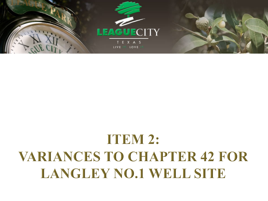

# **ITEM 2: VARIANCES TO CHAPTER 42 FOR** LANGLEY NO.1 WELL SITE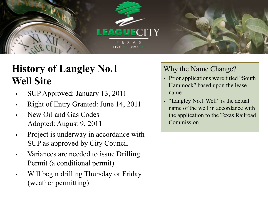

## **History of Langley No.1 Well Site**

- § SUP Approved: January 13, 2011
- Right of Entry Granted: June 14, 2011
- New Oil and Gas Codes Adopted: August 9, 2011
- Project is underway in accordance with SUP as approved by City Council
- Variances are needed to issue Drilling Permit (a conditional permit)
- § Will begin drilling Thursday or Friday (weather permitting)

#### Why the Name Change?

- Prior applications were titled "South" Hammock" based upon the lease name
- "Langley No.1 Well" is the actual name of the well in accordance with the application to the Texas Railroad Commission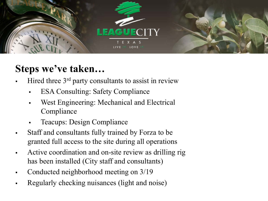

### **Steps we've taken…**

- Hired three  $3<sup>rd</sup>$  party consultants to assist in review
	- § ESA Consulting: Safety Compliance
	- West Engineering: Mechanical and Electrical Compliance
	- § Teacups: Design Compliance
- Staff and consultants fully trained by Forza to be granted full access to the site during all operations
- Active coordination and on-site review as drilling rig has been installed (City staff and consultants)
- Conducted neighborhood meeting on 3/19
- § Regularly checking nuisances (light and noise)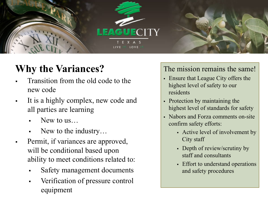

### **Why the Variances?**

- § Transition from the old code to the new code
- § It is a highly complex, new code and all parties are learning
	- New to us...
	- New to the industry...
- Permit, if variances are approved, will be conditional based upon ability to meet conditions related to:
	- § Safety management documents
	- Verification of pressure control equipment

#### The mission remains the same!

- § Ensure that League City offers the highest level of safety to our residents
- Protection by maintaining the highest level of standards for safety
- Nabors and Forza comments on-site confirm safety efforts:
	- Active level of involvement by City staff
	- Depth of review/scrutiny by staff and consultants
	- § Effort to understand operations and safety procedures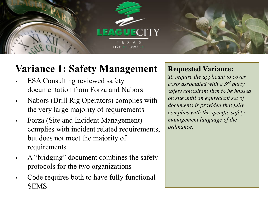

### **Variance 1: Safety Management**

- § ESA Consulting reviewed safety documentation from Forza and Nabors
- Nabors (Drill Rig Operators) complies with the very large majority of requirements
- § Forza (Site and Incident Management) complies with incident related requirements, but does not meet the majority of requirements
- A "bridging" document combines the safety protocols for the two organizations
- Code requires both to have fully functional **SEMS**

### **Requested Variance:**

*To require the applicant to cover costs associated with a 3rd party safety consultant firm to be housed on site until an equivalent set of documents is provided that fully complies with the specific safety management language of the ordinance.*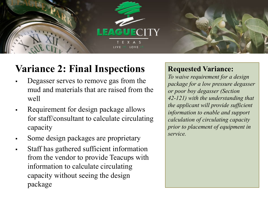

### **Variance 2: Final Inspections**

- § Degasser serves to remove gas from the mud and materials that are raised from the well
- § Requirement for design package allows for staff/consultant to calculate circulating capacity
- Some design packages are proprietary
- § Staff has gathered sufficient information from the vendor to provide Teacups with information to calculate circulating capacity without seeing the design package

### **Requested Variance:**

*To waive requirement for a design package for a low pressure degasser or poor boy degasser (Section 42-121) with the understanding that the applicant will provide sufficient information to enable and support calculation of circulating capacity prior to placement of equipment in service.*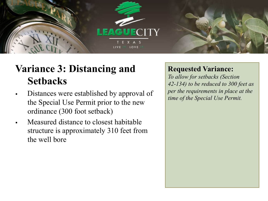

### **Variance 3: Distancing and Setbacks**

- § Distances were established by approval of the Special Use Permit prior to the new ordinance (300 foot setback)
- § Measured distance to closest habitable structure is approximately 310 feet from the well bore

#### **Requested Variance:**

*To allow for setbacks (Section 42-134) to be reduced to 300 feet as per the requirements in place at the time of the Special Use Permit.*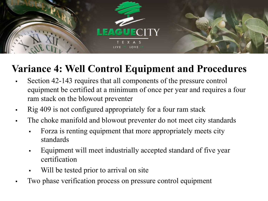

## **Variance 4: Well Control Equipment and Procedures**

- § Section 42-143 requires that all components of the pressure control equipment be certified at a minimum of once per year and requires a four ram stack on the blowout preventer
- Rig 409 is not configured appropriately for a four ram stack
- The choke manifold and blowout preventer do not meet city standards
	- Forza is renting equipment that more appropriately meets city standards
	- Equipment will meet industrially accepted standard of five year certification
	- Will be tested prior to arrival on site
- § Two phase verification process on pressure control equipment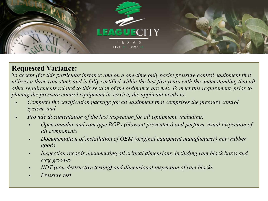

#### **Requested Variance:**

*To accept (for this particular instance and on a one-time only basis) pressure control equipment that utilizes a three ram stack and is fully certified within the last five years with the understanding that all other requirements related to this section of the ordinance are met. To meet this requirement, prior to placing the pressure control equipment in service, the applicant needs to:* 

- § *Complete the certification package for all equipment that comprises the pressure control system, and*
- § *Provide documentation of the last inspection for all equipment, including:* 
	- § *Open annular and ram type BOPs (blowout preventers) and perform visual inspection of all components*
	- § *Documentation of installation of OEM (original equipment manufacturer) new rubber goods*
	- § *Inspection records documenting all critical dimensions, including ram block bores and ring grooves*
	- § *NDT (non-destructive testing) and dimensional inspection of ram blocks*
	- § *Pressure test*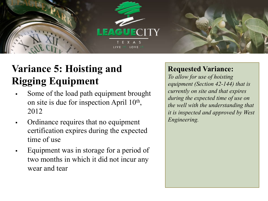

# **Variance 5: Hoisting and Rigging Equipment**

- § Some of the load path equipment brought on site is due for inspection April 10<sup>th</sup>, 2012
- Ordinance requires that no equipment certification expires during the expected time of use
- § Equipment was in storage for a period of two months in which it did not incur any wear and tear

#### **Requested Variance:**

*To allow for use of hoisting equipment (Section 42-144) that is currently on site and that expires during the expected time of use on the well with the understanding that it is inspected and approved by West Engineering.*